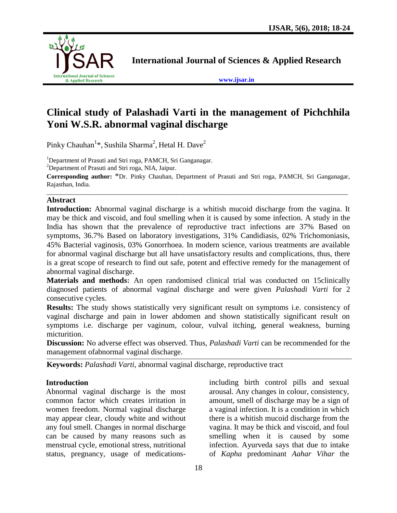

**International Journal of Sciences & Applied Research**

**[www.ijsar.in](http://www.ijsar.in/)**

# **Clinical study of Palashadi Varti in the management of Pichchhila Yoni W.S.R. abnormal vaginal discharge**

Pinky Chauhan $^{1*}$ , Sushila Sharma $^{2}$ , Hetal H. Dave $^{2}$ 

<sup>1</sup>Department of Prasuti and Stri roga, PAMCH, Sri Ganganagar.

<sup>2</sup>Department of Prasuti and Stri roga, NIA, Jaipur.

**Corresponding author:** \*Dr. Pinky Chauhan, Department of Prasuti and Stri roga, PAMCH, Sri Ganganagar, Rajasthan, India. \_\_\_\_\_\_\_\_\_\_\_\_\_\_\_\_\_\_\_\_\_\_\_\_\_\_\_\_\_\_\_\_\_\_\_\_\_\_\_\_\_\_\_\_\_\_\_\_\_\_\_\_\_\_\_\_\_\_\_\_\_\_\_\_\_\_\_\_\_\_\_\_\_\_\_\_\_\_\_\_\_\_\_\_\_\_\_\_\_\_\_\_\_

#### **Abstract**

**Introduction:** Abnormal vaginal discharge is a whitish mucoid discharge from the vagina. It may be thick and viscoid, and foul smelling when it is caused by some infection. A study in the India has shown that the prevalence of reproductive tract infections are 37% Based on symptoms, 36.7% Based on laboratory investigations, 31% Candidiasis, 02% Trichomoniasis, 45% Bacterial vaginosis, 03% Gonorrhoea. In modern science, various treatments are available for abnormal vaginal discharge but all have unsatisfactory results and complications, thus, there is a great scope of research to find out safe, potent and effective remedy for the management of abnormal vaginal discharge.

**Materials and methods:** An open randomised clinical trial was conducted on 15clinically diagnosed patients of abnormal vaginal discharge and were given *Palashadi Varti* for 2 consecutive cycles.

**Results:** The study shows statistically very significant result on symptoms i.e. consistency of vaginal discharge and pain in lower abdomen and shown statistically significant result on symptoms i.e. discharge per vaginum, colour, vulval itching, general weakness, burning micturition.

**Discussion:** No adverse effect was observed. Thus, *Palashadi Varti* can be recommended for the management ofabnormal vaginal discharge.

**Keywords:** *Palashadi Varti,* abnormal vaginal discharge, reproductive tract

### **Introduction**

Abnormal vaginal discharge is the most common factor which creates irritation in women freedom. Normal vaginal discharge may appear clear, cloudy white and without any foul smell. Changes in normal discharge can be caused by many reasons such as menstrual cycle, emotional stress, nutritional status, pregnancy, usage of medicationsincluding birth control pills and sexual arousal. Any changes in colour, consistency, amount, smell of discharge may be a sign of a vaginal infection. It is a condition in which there is a whitish mucoid discharge from the vagina. It may be thick and viscoid, and foul smelling when it is caused by some infection. Ayurveda says that due to intake of *Kapha* predominant *Aahar Vihar* the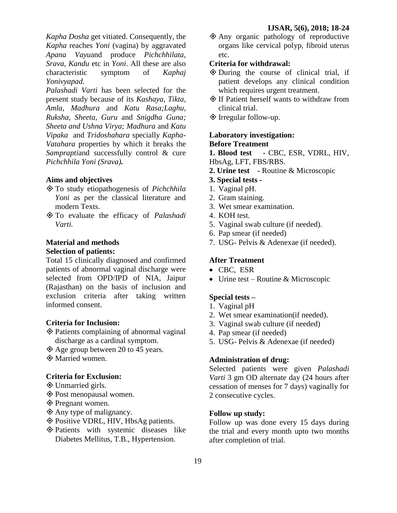*Kapha Dosha* get vitiated. Consequently, the *Kapha* reaches *Yoni* (vagina) by aggravated *Apana Vayu*and produce *Pichchhilata, Srava, Kandu* etc in *Yoni*. All these are also characteristic symptom of *Kaphaj Yonivyapad.*

*Palashadi Varti* has been selected for the present study because of its *Kashaya, Tikta, Amla, Madhura* and *Katu Rasa;Laghu, Ruksha, Sheeta, Guru* and *Snigdha Guna; Sheeta and Ushna Virya; Madhura* and *Katu Vipaka* and *Tridoshahara* specially *Kapha-Vatahara* properties by which it breaks the *Samprapti*and successfully control & cure *Pichchhila Yoni (Srava).*

### **Aims and objectives**

- To study etiopathogenesis of *Pichchhila Yoni* as per the classical literature and modern Texts.
- To evaluate the efficacy of *Palashadi Varti.*

# **Material and methods Selection of patients:**

Total 15 clinically diagnosed and confirmed patients of abnormal vaginal discharge were selected from OPD/IPD of NIA, Jaipur (Rajasthan) on the basis of inclusion and exclusion criteria after taking written informed consent.

### **Criteria for Inclusion:**

- Patients complaining of abnormal vaginal discharge as a cardinal symptom.
- Age group between 20 to 45 years.

Married women.

### **Criteria for Exclusion:**

- Unmarried girls.
- Post menopausal women.
- ◆ Pregnant women.
- Any type of malignancy.
- Positive VDRL, HIV, HbsAg patients.
- Patients with systemic diseases like Diabetes Mellitus, T.B., Hypertension.

 Any organic pathology of reproductive organs like cervical polyp, fibroid uterus etc.

#### **Criteria for withdrawal:**

- During the course of clinical trial, if patient develops any clinical condition which requires urgent treatment.
- $\diamond$  If Patient herself wants to withdraw from clinical trial.
- ◆ Irregular follow-up.

## **Laboratory investigation: Before Treatment**

**1. Blood test -** CBC, ESR, VDRL, HIV, HbsAg, LFT, FBS/RBS.

- **2. Urine test -** Routine & Microscopic
- **3. Special tests -**
- 1. Vaginal pH.
- 2. Gram staining.
- 3. Wet smear examination.
- 4. KOH test.
- 5. Vaginal swab culture (if needed).
- 6. Pap smear (if needed)
- 7. USG- Pelvis & Adenexae (if needed).

#### **After Treatment**

- CBC, ESR
- Urine test Routine & Microscopic

#### **Special tests –**

- 1. Vaginal pH
- 2. Wet smear examination(if needed).
- 3. Vaginal swab culture (if needed)
- 4. Pap smear (if needed)
- 5. USG- Pelvis & Adenexae (if needed)

# **Administration of drug:**

Selected patients were given *Palashadi Varti* 3 gm OD alternate day (24 hours after cessation of menses for 7 days) vaginally for 2 consecutive cycles.

#### **Follow up study:**

Follow up was done every 15 days during the trial and every month upto two months after completion of trial.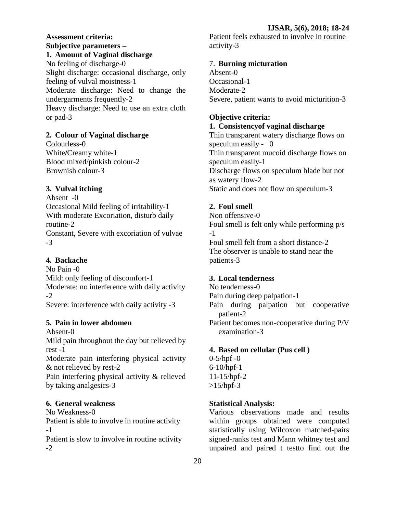### **Assessment criteria: Subjective parameters – 1. Amount of Vaginal discharge**

No feeling of discharge-0 Slight discharge: occasional discharge, only feeling of vulval moistness-1 Moderate discharge: Need to change the undergarments frequently-2 Heavy discharge: Need to use an extra cloth or pad-3

# **2. Colour of Vaginal discharge**

Colourless-0 White**/**Creamy white-1 Blood mixed/pinkish colour-2 Brownish colour-3

# **3. Vulval itching**

Absent -0 Occasional Mild feeling of irritability-1 With moderate Excoriation, disturb daily routine-2 Constant, Severe with excoriation of vulvae -3

# **4. Backache**

No Pain -0 Mild: only feeling of discomfort-1 Moderate: no interference with daily activity -2

Severe: interference with daily activity -3

# **5. Pain in lower abdomen**

Absent-0 Mild pain throughout the day but relieved by rest -1

Moderate pain interfering physical activity & not relieved by rest-2

Pain interfering physical activity & relieved by taking analgesics-3

# **6. General weakness**

No Weakness-0 Patient is able to involve in routine activity -1

Patient is slow to involve in routine activity -2

Patient feels exhausted to involve in routine activity-3

# 7. **Burning micturation**

Absent-0 Occasional-1 Moderate-2 Severe, patient wants to avoid micturition-3

# **Objective criteria:**

**1. Consistencyof vaginal discharge**

Thin transparent watery discharge flows on speculum easily - 0 Thin transparent mucoid discharge flows on speculum easily-1 Discharge flows on speculum blade but not as watery flow-2 Static and does not flow on speculum-3

# **2. Foul smell**

Non offensive-0 Foul smell is felt only while performing p/s -1 Foul smell felt from a short distance-2 The observer is unable to stand near the patients-3

# **3. Local tenderness**

No tenderness-0 Pain during deep palpation-1 Pain during palpation but cooperative patient-2 Patient becomes non-cooperative during P/V examination-3

### **4. Based on cellular (Pus cell )**

 $0 - 5$ /hpf  $-0$ 6-10/hpf-1 11-15/hpf-2  $>15/hpf-3$ 

# **Statistical Analysis:**

Various observations made and results within groups obtained were computed statistically using Wilcoxon matched-pairs signed-ranks test and Mann whitney test and unpaired and paired t testto find out the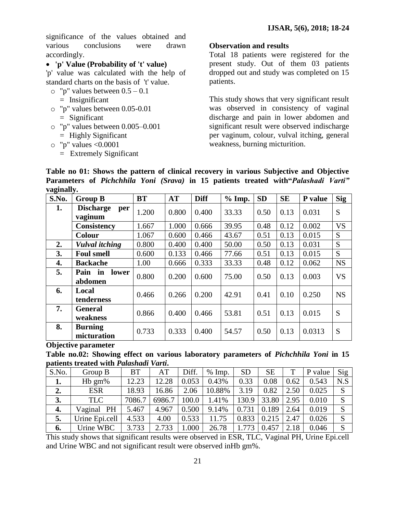significance of the values obtained and various conclusions were drawn accordingly.

# **'p' Value (Probability of 't' value)**

'p' value was calculated with the help of standard charts on the basis of 't' value.

- $\circ$  "p" values between  $0.5 0.1$ 
	- = Insignificant
- o "p" values between 0.05-0.01 = Significant
- o "p" values between 0.005–0.001 = Highly Significant
- o "p" values <0.0001
	- = Extremely Significant

#### **Observation and results**

Total 18 patients were registered for the present study. Out of them 03 patients dropped out and study was completed on 15 patients.

This study shows that very significant result was observed in consistency of vaginal discharge and pain in lower abdomen and significant result were observed indischarge per vaginum, colour, vulval itching, general weakness, burning micturition.

| . <del></del><br>S.No. | <b>Group B</b>                            | <b>BT</b> | <b>AT</b> | <b>Diff</b> | $%$ Imp. | <b>SD</b> | <b>SE</b> | <b>P</b> value | <b>Sig</b> |
|------------------------|-------------------------------------------|-----------|-----------|-------------|----------|-----------|-----------|----------------|------------|
| 1.                     | <b>Discharge</b><br>per<br>vaginum        | 1.200     | 0.800     | 0.400       | 33.33    | 0.50      | 0.13      | 0.031          | S          |
|                        | <b>Consistency</b>                        | 1.667     | 1.000     | 0.666       | 39.95    | 0.48      | 0.12      | 0.002          | <b>VS</b>  |
|                        | <b>Colour</b>                             | 1.067     | 0.600     | 0.466       | 43.67    | 0.51      | 0.13      | 0.015          | S          |
| 2.                     | <b>Vulval</b> itching                     | 0.800     | 0.400     | 0.400       | 50.00    | 0.50      | 0.13      | 0.031          | S          |
| 3.                     | <b>Foul smell</b>                         | 0.600     | 0.133     | 0.466       | 77.66    | 0.51      | 0.13      | 0.015          | S          |
| 4.                     | <b>Backache</b>                           | 1.00      | 0.666     | 0.333       | 33.33    | 0.48      | 0.12      | 0.062          | <b>NS</b>  |
| 5.                     | Pain<br>lower<br>$\mathbf{in}$<br>abdomen | 0.800     | 0.200     | 0.600       | 75.00    | 0.50      | 0.13      | 0.003          | <b>VS</b>  |
| 6.                     | Local<br>tenderness                       | 0.466     | 0.266     | 0.200       | 42.91    | 0.41      | 0.10      | 0.250          | <b>NS</b>  |
| 7.                     | <b>General</b><br>weakness                | 0.866     | 0.400     | 0.466       | 53.81    | 0.51      | 0.13      | 0.015          | S          |
| 8.                     | <b>Burning</b><br>micturation             | 0.733     | 0.333     | 0.400       | 54.57    | 0.50      | 0.13      | 0.0313         | S          |

**Table no 01: Shows the pattern of clinical recovery in various Subjective and Objective Parameters of** *Pichchhila Yoni (Srava)* **in 15 patients treated with"***Palashadi Varti"*  **vaginally.**

#### **Objective parameter**

**Table no.02: Showing effect on various laboratory parameters of** *Pichchhila Yoni* **in 15 patients treated with** *Palashadi Varti***.**

| S.No. | Group B        | <b>BT</b> | AT     | Diff. | $%$ Imp. | <b>SD</b> | <b>SE</b> |      | P value | Sig |
|-------|----------------|-----------|--------|-------|----------|-----------|-----------|------|---------|-----|
| 1.    | $Hb$ gm%       | 12.23     | 12.28  | 0.053 | 0.43%    | 0.33      | 0.08      | 0.62 | 0.543   | N.S |
| 2.    | <b>ESR</b>     | 18.93     | 16.86  | 2.06  | 10.88%   | 3.19      | 0.82      | 2.50 | 0.025   | S   |
| 3.    | <b>TLC</b>     | 7086.7    | 6986.7 | 100.0 | 1.41%    | 130.9     | 33.80     | 2.95 | 0.010   |     |
| 4.    | Vaginal PH     | 5.467     | 4.967  | 0.500 | 9.14%    | 0.731     | 0.189     | 2.64 | 0.019   | S   |
| 5.    | Urine Epi.cell | 4.533     | 4.00   | 0.533 | 11.75    | 0.833     | 0.215     | 2.47 | 0.026   | S   |
| 6.    | Urine WBC      | 3.733     | 2.733  | 1.000 | 26.78    |           | 0.457     | 2.18 | 0.046   |     |

This study shows that significant results were observed in ESR, TLC, Vaginal PH, Urine Epi.cell and Urine WBC and not significant result were observed inHb gm%.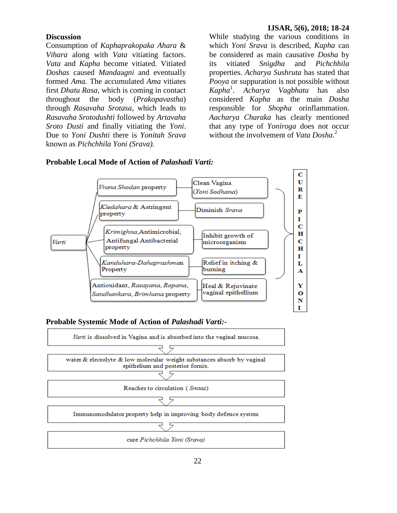#### **Discussion**

Consumption of *Kaphaprakopaka Ahara* & *Vihara* along with *Vata* vitiating factors. *Vata* and *Kapha* become vitiated. Vitiated *Doshas* caused *Manda*a*gni* and eventually formed *Ama.* The accumulated *Ama* vitiates first *Dhatu Rasa*, which is coming in contact throughout the body (*Prakopavastha*) through *Rasavaha Srotasa*, which leads to *Rasavaha Srotodushti* followed by *Artavaha Sroto Dusti* and finally vitiating the *Yoni*. Due to *Yoni Dushti* there is *Yonitah Srava* known as *Pichchhila Yoni (Srava).*

While studying the various conditions in which *Yoni Srava* is described, *Kapha* can be considered as main causative *Dosha* by its vitiated *Snigdha* and *Pichchhila*  properties. *Acharya Sushruta* has stated that *Pooya* or suppuration is not possible without *Kapha*<sup>1</sup> . *Acharya Vagbhata* has also considered *Kapha* as the main *Dosha* responsible for *Shopha* orinflammation. *Aacharya Charaka* has clearly mentioned that any type of *Yoniroga* does not occur without the involvement of *Vata Dosha*<sup>2</sup>





#### **Probable Systemic Mode of Action of** *Palashadi Varti:-*

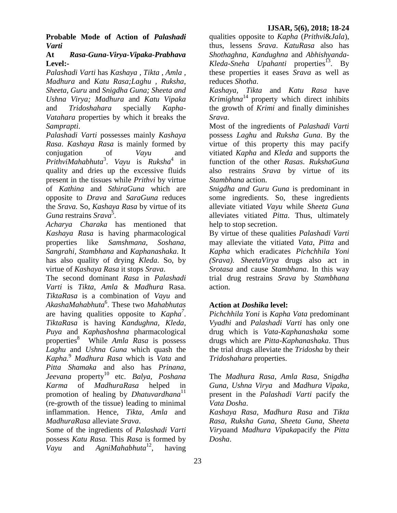**Probable Mode of Action of** *Palashadi Varti*

### **At** *Rasa-Guna-Virya-Vipaka-Prabhava* **Level:-**

*Palashadi Varti* has *Kashaya , Tikta , Amla , Madhura* and *Katu Rasa;Laghu , Ruksha, Sheeta, Guru* and *Snigdha Guna; Sheeta and Ushna Virya; Madhura* and *Katu Vipaka* and *Tridoshahara* specially *Kapha-Vatahara* properties by which it breaks the *Samprapti*.

*Palashadi Varti* possesses mainly *Kashaya Rasa*. *Kashaya Rasa* is mainly formed by conjugation of *Vayu* and *PrithviMahabhuta*<sup>3</sup> . *Vayu* is *Ruksha*<sup>4</sup> in quality and dries up the excessive fluids present in the tissues while *Prithvi* by virtue of *Kathina* and *SthiraGuna* which are opposite to *Drava* and *SaraGuna* reduces the *Srava.* So, *Kashaya Rasa* by virtue of its Guna restrains Srava<sup>5</sup>.

*Acharya Charaka* has mentioned that *Kashaya Rasa* is having pharmacological properties like *Samshmana, Soshana, Sangrahi, Stambhana* and *Kaphanashaka*. It has also quality of drying *Kleda*. So, by virtue of *Kashaya Rasa* it stops *Srava*.

The second dominant *Rasa* in *Palashadi Varti* is *Tikta*, *Amla* & *Madhura* Rasa. *TiktaRasa* is a combination of *Vayu* and *AkashaMahabhuta*<sup>6</sup> . These two *Mahabhutas* are having qualities opposite to *Kapha<sup>7</sup>* . *TiktaRasa* is having *Kandughna, Kleda, Puya* and *Kaphashoshna* pharmacological properties<sup>8</sup> While *Amla Rasa* is possess *Laghu* and *Ushna Guna* which quash the *Kapha.*<sup>9</sup> *Madhura Rasa* which is *Vata* and *Pitta Shamaka* and also has *Prinana, Jeevana* property<sup>10</sup> etc. *Balya, Poshana Karma* of *MadhuraRasa* helped in promotion of healing by *Dhatuvardhana*<sup>11</sup> (re-growth of the tissue) leading to minimal inflammation. Hence, *Tikta*, *Amla* and *MadhuraRasa* alleviate *Srava*.

Some of the ingredients of *Palashadi Varti*  possess *Katu Rasa.* This *Rasa* is formed by *Vayu* and *AgniMahabhuta*<sup>12</sup>, having qualities opposite to *Kapha* (*Prithvi*&*Jala*), thus, lessens *Srava*. *KatuRasa* also has *Shothaghna, Kandughna* and *Abhishyanda-*Kleda-Sneha Upahanti properties<sup>13</sup>. By these properties it eases *Srava* as well as reduces *Shotha*.

*Kashaya, Tikta* and *Katu Rasa* have *Krimighna*<sup>14</sup> property which direct inhibits the growth of *Krimi* and finally diminishes *Srava*.

Most of the ingredients of *Palashadi Varti*  possess *Laghu* and *Ruksha Guna*. By the virtue of this property this may pacify vitiated *Kapha* and *Kleda* and supports the function of the other *Rasas*. *RukshaGuna* also restrains *Srava* by virtue of its *Stambhana* action.

*Snigdha and Guru Guna* is predominant in some ingredients. So, these ingredients alleviate vitiated *Vayu* while *Sheeta Guna* alleviates vitiated *Pitta*. Thus, ultimately help to stop secretion.

By virtue of these qualities *Palashadi Varti*  may alleviate the vitiated *Vata*, *Pitta* and *Kapha* which eradicates *Pichchhila Yoni (Srava)*. *SheetaVirya* drugs also act in *Srotasa* and cause *Stambhana*. In this way trial drug restrains *Srava* by *Stambhana* action.

# **Action at** *Doshika* **level:**

*Pichchhila Yoni* is *Kapha Vata* predominant *Vyadhi* and *Palashadi Varti* has only one drug which is *Vata-Kaphanashaka* some drugs which are *Pitta-Kaphanashaka*. Thus the trial drugs alleviate the *Tridosha* by their *Tridoshahara* properties.

The *Madhura Rasa, Amla Rasa, Snigdha Guna, Ushna Virya* and *Madhura Vipaka*, present in the *Palashadi Varti* pacify the *Vata Dosha*.

*Kashaya Rasa, Madhura Rasa* and *Tikta Rasa, Ruksha Guna, Sheeta Guna*, *Sheeta Virya*and *Madhura Vipaka*pacify the *Pitta Dosha*.